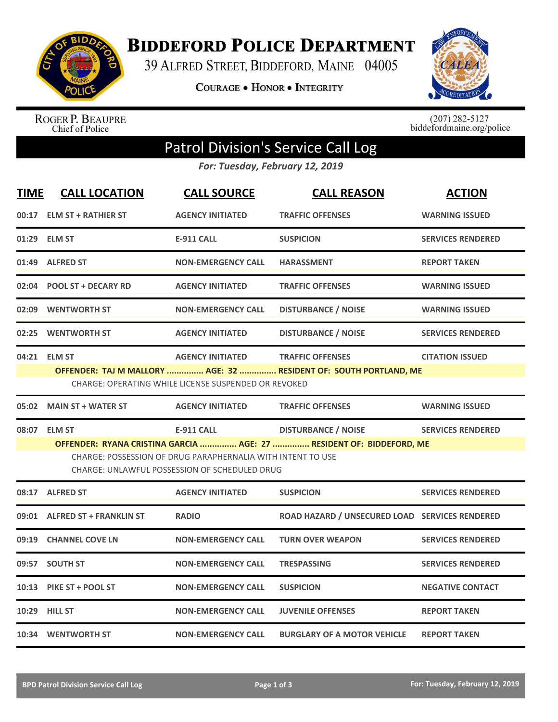

**BIDDEFORD POLICE DEPARTMENT** 

39 ALFRED STREET, BIDDEFORD, MAINE 04005

**COURAGE . HONOR . INTEGRITY** 



ROGER P. BEAUPRE<br>Chief of Police

 $(207)$  282-5127<br>biddefordmaine.org/police

## Patrol Division's Service Call Log

*For: Tuesday, February 12, 2019*

| <b>TIME</b> | <b>CALL LOCATION</b>           | <b>CALL SOURCE</b>                                                                                           | <b>CALL REASON</b>                                                   | <b>ACTION</b>            |
|-------------|--------------------------------|--------------------------------------------------------------------------------------------------------------|----------------------------------------------------------------------|--------------------------|
| 00:17       | <b>ELM ST + RATHIER ST</b>     | <b>AGENCY INITIATED</b>                                                                                      | <b>TRAFFIC OFFENSES</b>                                              | <b>WARNING ISSUED</b>    |
| 01:29       | <b>ELM ST</b>                  | <b>E-911 CALL</b>                                                                                            | <b>SUSPICION</b>                                                     | <b>SERVICES RENDERED</b> |
| 01:49       | <b>ALFRED ST</b>               | <b>NON-EMERGENCY CALL</b>                                                                                    | <b>HARASSMENT</b>                                                    | <b>REPORT TAKEN</b>      |
| 02:04       | <b>POOL ST + DECARY RD</b>     | <b>AGENCY INITIATED</b>                                                                                      | <b>TRAFFIC OFFENSES</b>                                              | <b>WARNING ISSUED</b>    |
| 02:09       | <b>WENTWORTH ST</b>            | <b>NON-EMERGENCY CALL</b>                                                                                    | <b>DISTURBANCE / NOISE</b>                                           | <b>WARNING ISSUED</b>    |
| 02:25       | <b>WENTWORTH ST</b>            | <b>AGENCY INITIATED</b>                                                                                      | <b>DISTURBANCE / NOISE</b>                                           | <b>SERVICES RENDERED</b> |
|             | 04:21 ELM ST                   | <b>AGENCY INITIATED</b>                                                                                      | <b>TRAFFIC OFFENSES</b>                                              | <b>CITATION ISSUED</b>   |
|             |                                | CHARGE: OPERATING WHILE LICENSE SUSPENDED OR REVOKED                                                         | OFFENDER: TAJ M MALLORY  AGE: 32  RESIDENT OF: SOUTH PORTLAND, ME    |                          |
|             |                                |                                                                                                              |                                                                      |                          |
| 05:02       | <b>MAIN ST + WATER ST</b>      | <b>AGENCY INITIATED</b>                                                                                      | <b>TRAFFIC OFFENSES</b>                                              | <b>WARNING ISSUED</b>    |
|             |                                |                                                                                                              |                                                                      |                          |
| 08:07       | <b>ELM ST</b>                  | <b>E-911 CALL</b>                                                                                            | <b>DISTURBANCE / NOISE</b>                                           | <b>SERVICES RENDERED</b> |
|             |                                |                                                                                                              | OFFENDER: RYANA CRISTINA GARCIA  AGE: 27  RESIDENT OF: BIDDEFORD, ME |                          |
|             |                                | CHARGE: POSSESSION OF DRUG PARAPHERNALIA WITH INTENT TO USE<br>CHARGE: UNLAWFUL POSSESSION OF SCHEDULED DRUG |                                                                      |                          |
|             | 08:17 ALFRED ST                | <b>AGENCY INITIATED</b>                                                                                      | <b>SUSPICION</b>                                                     | <b>SERVICES RENDERED</b> |
| 09:01       | <b>ALFRED ST + FRANKLIN ST</b> | <b>RADIO</b>                                                                                                 | ROAD HAZARD / UNSECURED LOAD SERVICES RENDERED                       |                          |
| 09:19       | <b>CHANNEL COVE LN</b>         | <b>NON-EMERGENCY CALL</b>                                                                                    | <b>TURN OVER WEAPON</b>                                              | <b>SERVICES RENDERED</b> |
|             | 09:57 SOUTH ST                 | <b>NON-EMERGENCY CALL</b>                                                                                    | <b>TRESPASSING</b>                                                   | <b>SERVICES RENDERED</b> |
| 10:13       | PIKE ST + POOL ST              | <b>NON-EMERGENCY CALL</b>                                                                                    | <b>SUSPICION</b>                                                     | <b>NEGATIVE CONTACT</b>  |
|             | 10:29 HILL ST                  | <b>NON-EMERGENCY CALL</b>                                                                                    | <b>JUVENILE OFFENSES</b>                                             | <b>REPORT TAKEN</b>      |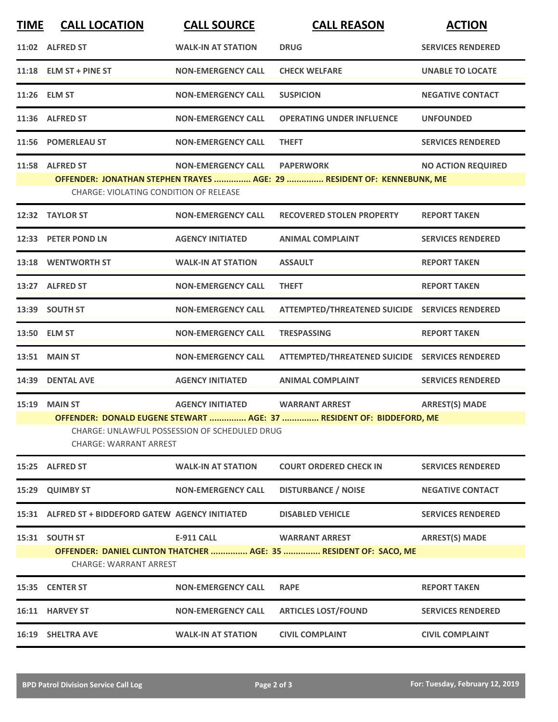| <b>TIME</b> | <b>CALL LOCATION</b>                                                                                                                                                                                                                                  | <b>CALL SOURCE</b>        | <b>CALL REASON</b>                                                                         | <b>ACTION</b>             |  |  |
|-------------|-------------------------------------------------------------------------------------------------------------------------------------------------------------------------------------------------------------------------------------------------------|---------------------------|--------------------------------------------------------------------------------------------|---------------------------|--|--|
|             | 11:02 ALFRED ST                                                                                                                                                                                                                                       | <b>WALK-IN AT STATION</b> | <b>DRUG</b>                                                                                | <b>SERVICES RENDERED</b>  |  |  |
|             | $11:18$ ELM ST + PINE ST                                                                                                                                                                                                                              | <b>NON-EMERGENCY CALL</b> | <b>CHECK WELFARE</b>                                                                       | <b>UNABLE TO LOCATE</b>   |  |  |
|             | 11:26 ELM ST                                                                                                                                                                                                                                          | <b>NON-EMERGENCY CALL</b> | <b>SUSPICION</b>                                                                           | <b>NEGATIVE CONTACT</b>   |  |  |
|             | 11:36 ALFRED ST                                                                                                                                                                                                                                       | <b>NON-EMERGENCY CALL</b> | <b>OPERATING UNDER INFLUENCE</b>                                                           | <b>UNFOUNDED</b>          |  |  |
|             | 11:56 POMERLEAU ST                                                                                                                                                                                                                                    | <b>NON-EMERGENCY CALL</b> | <b>THEFT</b>                                                                               | <b>SERVICES RENDERED</b>  |  |  |
|             | 11:58 ALFRED ST<br>CHARGE: VIOLATING CONDITION OF RELEASE                                                                                                                                                                                             | <b>NON-EMERGENCY CALL</b> | <b>PAPERWORK</b><br>OFFENDER: JONATHAN STEPHEN TRAYES  AGE: 29  RESIDENT OF: KENNEBUNK, ME | <b>NO ACTION REQUIRED</b> |  |  |
|             | 12:32 TAYLOR ST                                                                                                                                                                                                                                       | <b>NON-EMERGENCY CALL</b> | <b>RECOVERED STOLEN PROPERTY</b>                                                           | <b>REPORT TAKEN</b>       |  |  |
|             | 12:33 PETER POND LN                                                                                                                                                                                                                                   | <b>AGENCY INITIATED</b>   | <b>ANIMAL COMPLAINT</b>                                                                    | <b>SERVICES RENDERED</b>  |  |  |
|             | 13:18 WENTWORTH ST                                                                                                                                                                                                                                    | <b>WALK-IN AT STATION</b> | <b>ASSAULT</b>                                                                             | <b>REPORT TAKEN</b>       |  |  |
|             | 13:27 ALFRED ST                                                                                                                                                                                                                                       | <b>NON-EMERGENCY CALL</b> | <b>THEFT</b>                                                                               | <b>REPORT TAKEN</b>       |  |  |
|             | 13:39 SOUTH ST                                                                                                                                                                                                                                        | <b>NON-EMERGENCY CALL</b> | ATTEMPTED/THREATENED SUICIDE SERVICES RENDERED                                             |                           |  |  |
|             | 13:50 ELM ST                                                                                                                                                                                                                                          | <b>NON-EMERGENCY CALL</b> | <b>TRESPASSING</b>                                                                         | <b>REPORT TAKEN</b>       |  |  |
|             | 13:51 MAIN ST                                                                                                                                                                                                                                         | <b>NON-EMERGENCY CALL</b> | ATTEMPTED/THREATENED SUICIDE SERVICES RENDERED                                             |                           |  |  |
| 14:39       | <b>DENTAL AVE</b>                                                                                                                                                                                                                                     | <b>AGENCY INITIATED</b>   | <b>ANIMAL COMPLAINT</b>                                                                    | <b>SERVICES RENDERED</b>  |  |  |
| 15:19       | <b>MAIN ST</b><br><b>AGENCY INITIATED</b><br><b>WARRANT ARREST</b><br><b>ARREST(S) MADE</b><br>OFFENDER: DONALD EUGENE STEWART  AGE: 37  RESIDENT OF: BIDDEFORD, ME<br>CHARGE: UNLAWFUL POSSESSION OF SCHEDULED DRUG<br><b>CHARGE: WARRANT ARREST</b> |                           |                                                                                            |                           |  |  |
|             | 15:25 ALFRED ST                                                                                                                                                                                                                                       | <b>WALK-IN AT STATION</b> | <b>COURT ORDERED CHECK IN</b>                                                              | <b>SERVICES RENDERED</b>  |  |  |
| 15:29       | <b>QUIMBY ST</b>                                                                                                                                                                                                                                      | <b>NON-EMERGENCY CALL</b> | <b>DISTURBANCE / NOISE</b>                                                                 | <b>NEGATIVE CONTACT</b>   |  |  |
| 15:31       | ALFRED ST + BIDDEFORD GATEW AGENCY INITIATED                                                                                                                                                                                                          |                           | <b>DISABLED VEHICLE</b>                                                                    | <b>SERVICES RENDERED</b>  |  |  |
| 15:31       | <b>SOUTH ST</b><br><b>CHARGE: WARRANT ARREST</b>                                                                                                                                                                                                      | <b>E-911 CALL</b>         | <b>WARRANT ARREST</b><br>OFFENDER: DANIEL CLINTON THATCHER  AGE: 35  RESIDENT OF: SACO, ME | <b>ARREST(S) MADE</b>     |  |  |
| 15:35       | <b>CENTER ST</b>                                                                                                                                                                                                                                      | <b>NON-EMERGENCY CALL</b> | <b>RAPE</b>                                                                                | <b>REPORT TAKEN</b>       |  |  |
| 16:11       | <b>HARVEY ST</b>                                                                                                                                                                                                                                      | <b>NON-EMERGENCY CALL</b> | <b>ARTICLES LOST/FOUND</b>                                                                 | <b>SERVICES RENDERED</b>  |  |  |
| 16:19       | <b>SHELTRA AVE</b>                                                                                                                                                                                                                                    | <b>WALK-IN AT STATION</b> | <b>CIVIL COMPLAINT</b>                                                                     | <b>CIVIL COMPLAINT</b>    |  |  |